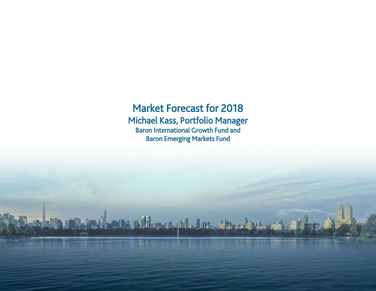# Market Forecast for 2018 Michael Kass, Portfolio Manager Baron International Growth Fund and Baron Emerging Markets Fund

Terel our of women in the store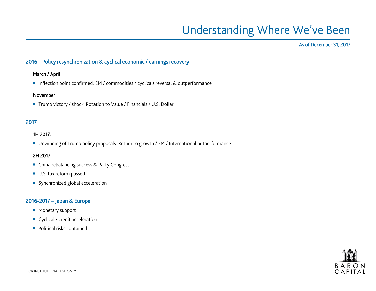# Understanding Where We've Been

#### As of December 31, 2017

### 2016 – Policy resynchronization & cyclical economic / earnings recovery

#### March / April

■ Inflection point confirmed: EM / commodities / cyclicals reversal & outperformance

#### November

■ Trump victory / shock: Rotation to Value / Financials / U.S. Dollar

## 2017

#### 1H 2017:

■ Unwinding of Trump policy proposals: Return to growth / EM / International outperformance

#### 2H 2017:

- China rebalancing success & Party Congress
- U.S. tax reform passed
- Synchronized global acceleration

### 2016-2017 – Japan & Europe

- **Monetary support**
- Cyclical / credit acceleration
- Political risks contained